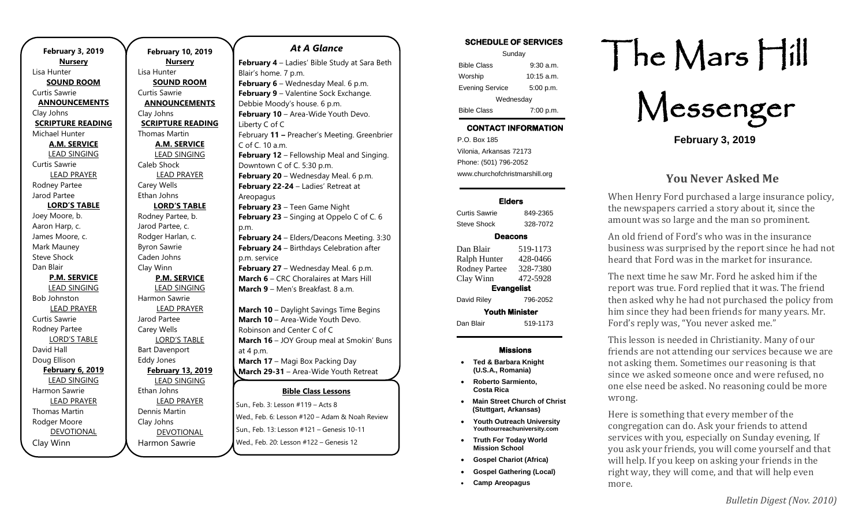**February 10, 2019 Nursery** Lisa Hunter **SOUND ROOM** Curtis Sawrie **ANNOUNCEMENTS** Clay Johns **SCRIPTURE READING** Thomas Martin **A.M. SERVICE** LEAD SINGING Caleb Shock LEAD PRAYER Carey Wells Ethan Johns **LORD'S TABLE** Rodney Partee, b. Jarod Partee, c. Rodger Harlan, c. Byron Sawrie Caden Johns Clay Winn **P.M. SERVICE** LEAD SINGING Harmon Sawrie LEAD PRAYER Jarod Partee Carey Wells LORD'S TABLE Bart Davenport Eddy Jones **February 13, 2019** LEAD SINGING Ethan Johns LEAD PRAYER Dennis Martin Clay Johns DEVOTIONAL

Harmon Sawrie

#### *At A Glance*

**Bible Class Lessons** Sun., Feb. 3: Lesson #119 – Acts 8 **February 4** – Ladies' Bible Study at Sara Beth Blair's home. 7 p.m. **February 6** – Wednesday Meal. 6 p.m. **February 9** – Valentine Sock Exchange. Debbie Moody's house. 6 p.m. **February 10** – Area-Wide Youth Devo. Liberty C of C February **11 –** Preacher's Meeting. Greenbrier C of C. 10 a.m. **February 12** – Fellowship Meal and Singing. Downtown C of C. 5:30 p.m. **February 20** – Wednesday Meal. 6 p.m. **February 22-24** – Ladies' Retreat at Areopagus **February 23** – Teen Game Night **February 23** – Singing at Oppelo C of C. 6 p.m. **February 24** – Elders/Deacons Meeting. 3:30 **February 24** – Birthdays Celebration after p.m. service **February 27** – Wednesday Meal. 6 p.m. **March 6** – CRC Choralaires at Mars Hill **March 9** – Men's Breakfast. 8 a.m. **March 10** – Daylight Savings Time Begins **March 10** – Area-Wide Youth Devo. Robinson and Center C of C **March 16** – JOY Group meal at Smokin' Buns at 4 p.m. **March 17** – Magi Box Packing Day **March 29-31** – Area-Wide Youth Retreat **March 31** – Potluck and early evening service

wed., Feb. 6: Lesson #120 – Adam & Noah Review **Apply 1993 Concerning Contract Construct**<br>Sun., Feb. 13: Lesson #121 – Genesis 10-11 **Aun., Feb. 13: Lesson #121 – Genesis 10-1** 

**April 28** – Elders/Deacons Meeting. 3:30 p.m.

Wed., Feb. 20: Lesson #122 - Genesis 12

| SCHEDULE OF SERVICES   |              |  |
|------------------------|--------------|--|
| Sunday                 |              |  |
| <b>Bible Class</b>     | $9:30$ a.m.  |  |
| Worship                | $10:15$ a.m. |  |
| <b>Evening Service</b> | 5:00 p.m.    |  |
| Wednesday              |              |  |
| <b>Bible Class</b>     | 7:00 p.m.    |  |

**SCHEDULE OF SERVICES** 

# **CONTACT INFORMATION**

. .o. Box 166<br>Vilonia, Arkansas 72173 P.O. Box 185 Phone: (501) 796-2052 www.churchofchristmarshill.org

## **Elders**

Curtis Sawrie 849-2365 Steve Shock 328-7072

## **Deacons**

| Dan Blair             | 519-1173 |  |
|-----------------------|----------|--|
| Ralph Hunter          | 428-0466 |  |
| <b>Rodney Partee</b>  | 328-7380 |  |
| Clay Winn             | 472-5928 |  |
| <b>Evangelist</b>     |          |  |
| David Riley           | 796-2052 |  |
| <b>Youth Minister</b> |          |  |
| Dan Blair             | 519-1173 |  |

## **Missions**

- **Ted & Barbara Knight (U.S.A., Romania)**
- **Roberto Sarmiento, Costa Rica**
- **Main Street Church of Christ (Stuttgart, Arkansas)**
- **Youth Outreach University Youthourreachuniversity.com**
- **Truth For Today World Mission School**
- **Gospel Chariot (Africa)**
- **Gospel Gathering (Local)**
- **Camp Areopagus**

# The Mars Hill

Messenger

**February 3, 2019**

## **You Never Asked Me**

When Henry Ford purchased a large insurance policy, the newspapers carried a story about it, since the amount was so large and the man so prominent.

An old friend of Ford's who was in the insurance business was surprised by the report since he had not heard that Ford was in the market for insurance.

The next time he saw Mr. Ford he asked him if the report was true. Ford replied that it was. The friend then asked why he had not purchased the policy from him since they had been friends for many years. Mr. Ford's reply was, "You never asked me."

This lesson is needed in Christianity. Many of our friends are not attending our services because we are not asking them. Sometimes our reasoning is that since we asked someone once and were refused, no one else need be asked. No reasoning could be more wrong.

Here is something that every member of the congregation can do. Ask your friends to attend services with you, especially on Sunday evening, If you ask your friends, you will come yourself and that will help. If you keep on asking your friends in the right way, they will come, and that will help even more.